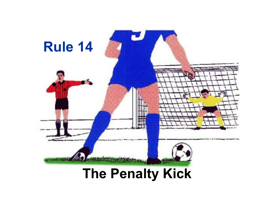

# **The Penalty Kick**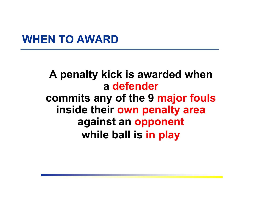#### **WHEN TO AWARD**

#### **A penalty kick is awarded when a defendercommits any of the 9 major fouls inside their own penalty area against an opponent while ball is in play**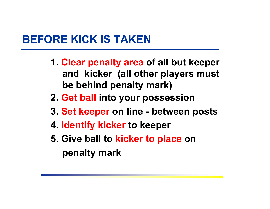## **BEFORE KICK IS TAKEN**

- **1. Clear penalty area of all but keeper and kicker (all other players must be behind penalty mark)**
- **2. Get ball into your possession**
- **3. Set keeper on line - between posts**
- **4. Identify kicker to keeper**
- **5. Give ball to kicker to place on penalty mark**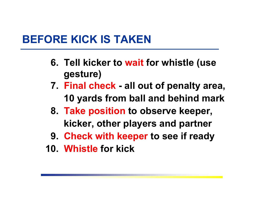# **BEFORE KICK IS TAKEN**

- **6. Tell kicker to wait for whistle (use gesture)**
- **7. Final check - all out of penalty area, 10 yards from ball and behind mark**
- **8. Take position to observe keeper, kicker, other players and partner**
- **9. Check with keeper to see if ready**
- **10. Whistle for kick**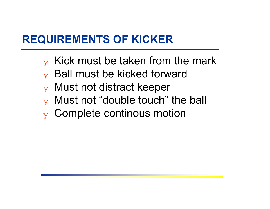# **REQUIREMENTS OF KICKER**

- $\mathbf y$  Kick must be taken from the mark
- $\mathbf y$  Ball must be kicked forward
- ❖ Must not distract keeper
- $\mathbf y$  Must not "double touch" the ball
- $\mathbf y$  Complete continous motion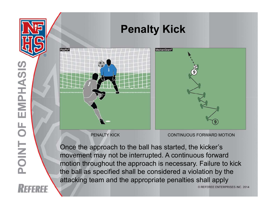

movement may not be interrupted. A continuous forward motion throughout the approach is necessary. Failure to kick the ball as specified shall be considered a violation by the attacking team and the appropriate penalties shall apply

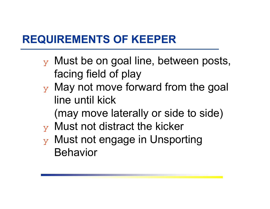# **REQUIREMENTS OF KEEPER**

- $\mathbf y$  Must be on goal line, between posts, facing field of play
- $\mathbf y$  May not move forward from the goal line until kick

(may move laterally or side to side)

- $\mathbf y$  Must not distract the kicker
- ❖ Must not engage in Unsporting Behavior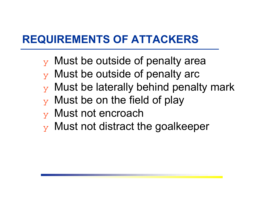# **REQUIREMENTS OF ATTACKERS**

- $\mathbf y$  Must be outside of penalty area
- $\mathbf y$  Must be outside of penalty arc
- $\mathbf y$  Must be laterally behind penalty mark
- $\mathbf y$  Must be on the field of play
- $\mathbf y$  Must not encroach
- $\mathbf y$  Must not distract the goalkeeper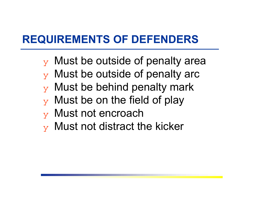# **REQUIREMENTS OF DEFENDERS**

- $\mathbf y$  Must be outside of penalty area
- $\mathbf y$  Must be outside of penalty arc
- $\mathbf y$  Must be behind penalty mark
- $\mathbf y$  Must be on the field of play
- $\mathbf y$  Must not encroach
- $\mathbf y$  Must not distract the kicker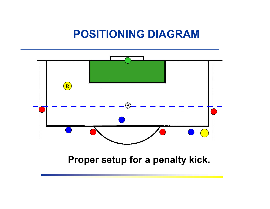#### **POSITIONING DIAGRAM**

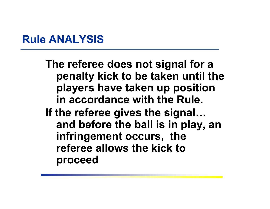### **Rule ANALYSIS**

**The referee does not signal for a penalty kick to be taken until the players have taken up position in accordance with the Rule. If the referee gives the signal… and before the ball is in play, an infringement occurs, the referee allows the kick to proceed**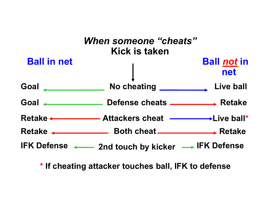

**\* If cheating attacker touches ball, IFK to defense**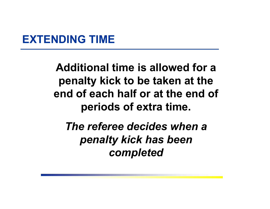#### **EXTENDING TIME**

**Additional time is allowed for a penalty kick to be taken at the end of each half or at the end of periods of extra time.**

*The referee decides when a penalty kick has been completed*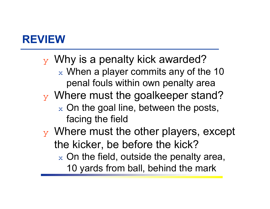$\mathbf y$  Why is a penalty kick awarded?  $_\mathrm{\text{x}}$  When a player commits any of the 10  $^{\circ}$ penal fouls within own penalty area ❖ Where must the goalkeeper stand?  $_\mathrm{\text{x}}$  On the goal line, between the posts, facing the field  $\mathbf y$  Where must the other players, except the kicker, be before the kick?  $_\mathrm{\text{x}}$  On the field, outside the penalty area, 10 yards from ball, behind the mark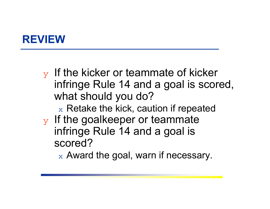$\mathbf y$  If the kicker or teammate of kicker infringe Rule 14 and a goal is scored, what should you do?

 $\mathrm{_{\mathrm{x}}}$  Retake the kick, caution if repeated

 $\mathbf y$  If the goalkeeper or teammate infringe Rule 14 and a goal is scored?

 $_\mathrm{\text{x}}$  Award the goal, warn if necessary.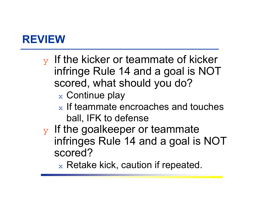- $\mathbf y$  If the kicker or teammate of kicker infringe Rule 14 and a goal is NOT scored, what should you do?
	- $_\mathrm{\text{x}}$  Continue play
	- $_\mathrm{\text{x}}$  If teammate encroaches and touches  $_\mathrm{\text{x}}$ ball, IFK to defense
- $\mathbf y$  If the goalkeeper or teammate infringes Rule 14 and a goal is NOT scored?
	- $_\mathrm{\text{x}}$  Retake kick, caution if repeated.